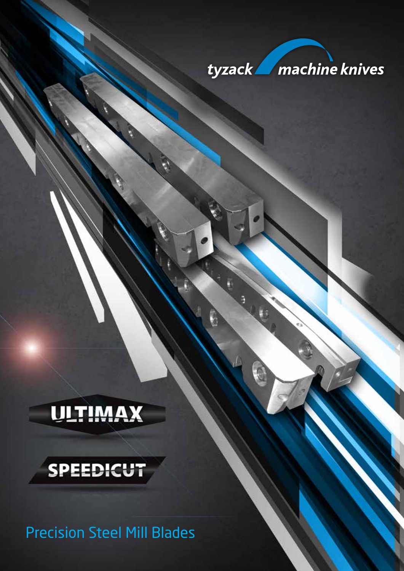

Precision Steel Mill Blades